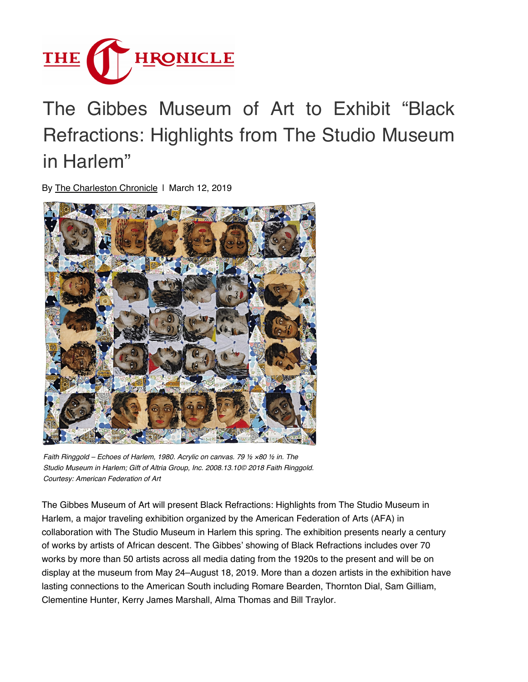

## The [Gibbes Museum of Art to Exhibit "Black](https://www.charlestonchronicle.net/) Refractions: Highlights from The Studio Museum in Harlem"

By [The Charleston Chronicle](https://www.charlestonchronicle.net/author/editor/) | March 12, 2019



*Faith Ringgold – Echoes of Harlem, 1980. Acrylic on canvas. 79 ½ ×80 ½ in. The Studio Museum in Harlem; Gift of Altria Group, Inc. 2008.13.10© 2018 Faith Ringgold. Courtesy: American Federation of Art*

The Gibbes Museum of Art will present Black Refractions: Highlights from The Studio Museum in Harlem, a major traveling exhibition organized by the American Federation of Arts (AFA) in collaboration with The Studio Museum in Harlem this spring. The exhibition presents nearly a century of works by artists of African descent. The Gibbes' showing of Black Refractions includes over 70 works by more than 50 artists across all media dating from the 1920s to the present and will be on display at the museum from May 24–August 18, 2019. More than a dozen artists in the exhibition have lasting connections to the American South including Romare Bearden, Thornton Dial, Sam Gilliam, Clementine Hunter, Kerry James Marshall, Alma Thomas and Bill Traylor.